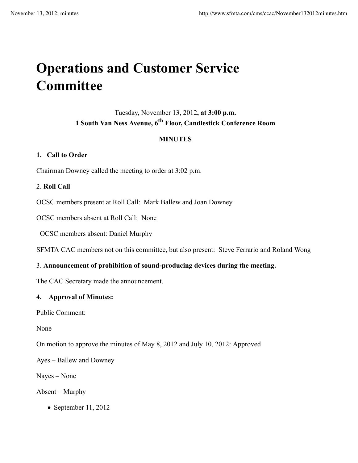# **Operations and Customer Service Committee**

Tuesday, November 13, 2012**, at 3:00 p.m. 1 South Van Ness Avenue, 6th Floor, Candlestick Conference Room**

# **MINUTES**

## **1. Call to Order**

Chairman Downey called the meeting to order at 3:02 p.m.

# 2. **Roll Call**

OCSC members present at Roll Call: Mark Ballew and Joan Downey

OCSC members absent at Roll Call: None

OCSC members absent: Daniel Murphy

SFMTA CAC members not on this committee, but also present: Steve Ferrario and Roland Wong

## 3. **Announcement of prohibition of sound-producing devices during the meeting.**

The CAC Secretary made the announcement.

## **4. Approval of Minutes:**

Public Comment:

None

On motion to approve the minutes of May 8, 2012 and July 10, 2012: Approved

Ayes – Ballew and Downey

Nayes – None

Absent – Murphy

• September 11, 2012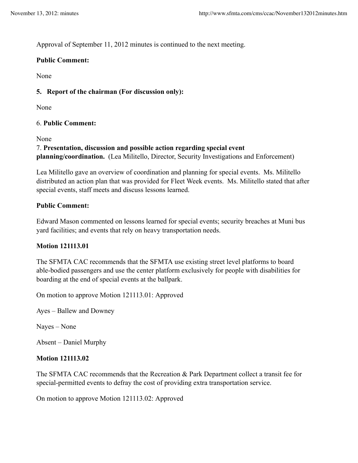Approval of September 11, 2012 minutes is continued to the next meeting.

#### **Public Comment:**

None

## **5. Report of the chairman (For discussion only):**

None

## 6. **Public Comment:**

None

7. **Presentation, discussion and possible action regarding special event planning/coordination.** (Lea Militello, Director, Security Investigations and Enforcement)

Lea Militello gave an overview of coordination and planning for special events. Ms. Militello distributed an action plan that was provided for Fleet Week events. Ms. Militello stated that after special events, staff meets and discuss lessons learned.

## **Public Comment:**

Edward Mason commented on lessons learned for special events; security breaches at Muni bus yard facilities; and events that rely on heavy transportation needs.

## **Motion 121113.01**

The SFMTA CAC recommends that the SFMTA use existing street level platforms to board able-bodied passengers and use the center platform exclusively for people with disabilities for boarding at the end of special events at the ballpark.

On motion to approve Motion 121113.01: Approved

Ayes – Ballew and Downey

Nayes – None

Absent – Daniel Murphy

## **Motion 121113.02**

The SFMTA CAC recommends that the Recreation & Park Department collect a transit fee for special-permitted events to defray the cost of providing extra transportation service.

On motion to approve Motion 121113.02: Approved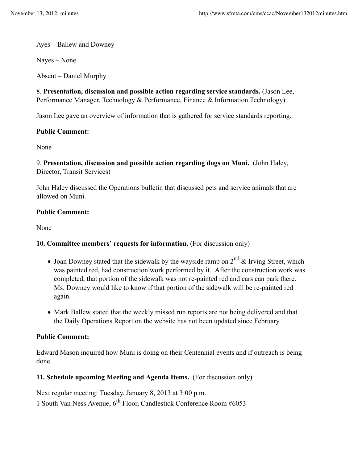Ayes – Ballew and Downey

Nayes – None

Absent – Daniel Murphy

8. **Presentation, discussion and possible action regarding service standards.** (Jason Lee, Performance Manager, Technology & Performance, Finance & Information Technology)

Jason Lee gave an overview of information that is gathered for service standards reporting.

## **Public Comment:**

None

9. **Presentation, discussion and possible action regarding dogs on Muni.** (John Haley, Director, Transit Services)

John Haley discussed the Operations bulletin that discussed pets and service animals that are allowed on Muni.

#### **Public Comment:**

None

## **10. Committee members' requests for information.** (For discussion only)

- Joan Downey stated that the sidewalk by the wayside ramp on  $2^{nd} \&$  Irving Street, which was painted red, had construction work performed by it. After the construction work was completed, that portion of the sidewalk was not re-painted red and cars can park there. Ms. Downey would like to know if that portion of the sidewalk will be re-painted red again.
- Mark Ballew stated that the weekly missed run reports are not being delivered and that the Daily Operations Report on the website has not been updated since February

## **Public Comment:**

Edward Mason inquired how Muni is doing on their Centennial events and if outreach is being done.

## **11. Schedule upcoming Meeting and Agenda Items.** (For discussion only)

Next regular meeting: Tuesday, January 8, 2013 at 3:00 p.m.

1 South Van Ness Avenue, 6<sup>th</sup> Floor, Candlestick Conference Room #6053